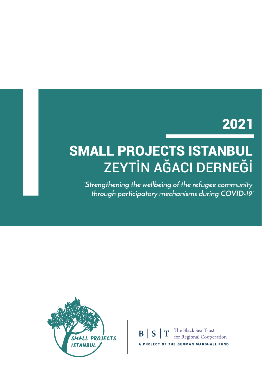## 2021

# SMALL PROJECTS ISTANBUL ZEYTİN AĞACI DERNEĞİ

*"Strengthening the wellbeing of the refugee community through participatory mechanisms during COVID-19"*



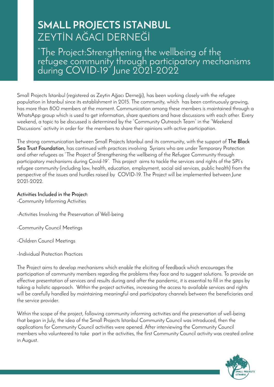### **SMALL PROJECTS ISTANBUL** ZEYTİN AĞACI DERNEĞİ

"The Project:Strengthening the wellbeing of the refugee community through participatory mechanisms during COVID-19" June 2021-2022

Small Projects Istanbul (registered as Zeytin Ağacı Derneği), has been working closely with the refugee population in Istanbul since its establishment in 2015. The community, which has been continuously growing, has more than 800 members at the moment. Communication among these members is maintained through a WhatsApp group which is used to get information, share questions and have discussions with each other. Every weekend, a topic to be discussed is determined by the "Community Outreach Team" in the "Weekend Discussions" activity in order for the members to share their opinions with active participation.

The strong communication between Small Projects Istanbul and its community, with the support of **The Black Sea Trust Foundation**, has continued with practices involving Syrians who are under Temporary Protection and other refugees as "The Project of Strengthening the wellbeing of the Refugee Community through participatory mechanisms during Covid-19". This project aims to tackle the services and rights of the SPI's refugee community (including law, health, education, employment, social aid services, public health) from the perspective of the issues and hurdles raised by COVID-19. The Project will be implemented between June 2021-2022.

#### **Activities Included in the Project:**

-Community Informing Activities

-Activities Involving the Preservation of Well-being

-Community Council Meetings

-Children Council Meetings

-Individual Protection Practices

The Project aims to develop mechanisms which enable the eliciting of feedback which encourages the participation of community members regarding the problems they face and to suggest solutions. To provide an effective presentation of services and results during and after the pandemic, it is essential to fill in the gaps by taking a holistic approach. Within the project activities, increasing the access to available services and rights will be carefully handled by maintaining meaningful and participatory channels between the beneficiaries and the service provider.

Within the scope of the project, following community informing activities and the preservation of well-being that began in July, the idea of the Small Projects Istanbul Community Council was introduced, then the applications for Community Council activities were opened. After interviewing the Community Council members who volunteered to take part in the activities, the first Community Council activity was created online in August.

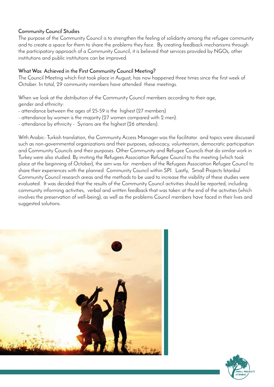#### **Community Council Studies**

The purpose of the Community Council is to strengthen the feeling of solidarity among the refugee community and to create a space for them to share the problems they face. By creating feedback mechanisms through the participatory approach of a Community Council, it is believed that services provided by NGOs, other institutions and public institutions can be improved.

#### **What Was Achieved in the First Community Council Meeting?**

The Council Meeting which first took place in August, has now happened three times since the first week of October. In total, 29 community members have attended these meetings.

When we look at the distribution of the Community Council members according to their age, gender and ethnicity:

- attendance between the ages of 25-59 is the highest (27 members)
- attendance by women is the majority (27 women compared with 2 men).
- attendance by ethnicity Syrians are the highest (26 attenders).

With Arabic- Turkish translation, the Community Access Manager was the facilitator and topics were discussed such as non-governmental organizations and their purposes, advocacy, volunteerism, democratic participation and Community Councils and their purposes. Other Community and Refugee Councils that do similar work in Turkey were also studied. By inviting the Refugees Association Refugee Council to the meeting (which took place at the beginning of October), the aim was for members of the Refugees Association Refugee Council to share their experiences with the planned Community Council within SPI. Lastly, Small Projects Istanbul Community Council research areas and the methods to be used to increase the visibility of these studies were evaluated. It was decided that the results of the Community Council activities should be reported, including community informing activities, verbal and written feedback that was taken at the end of the activities (which involves the preservation of well-being), as well as the problems Council members have faced in their lives and suggested solutions.



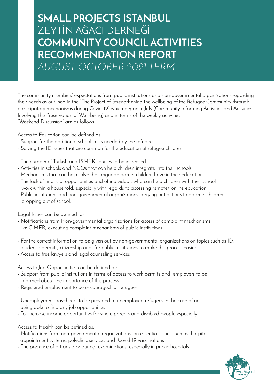### **SMALL PROJECTS ISTANBUL** ZEYTİN AĞACI DERNEĞİ **COMMUNITY COUNCIL ACTIVITIES RECOMMENDATION REPORT**  *AUGUST-OCTOBER 2021 TERM*

The community members' expectations from public institutions and non-governmental organizations regarding their needs as outlined in the "The Project of Strengthening the wellbeing of the Refugee Community through participatory mechanisms during Covid-19" which began in July (Community Informing Activities and Activities Involving the Preservation of Well-being) and in terms of the weekly activities "Weekend Discussion" are as follows:

Access to Education can be defined as:

- Support for the additional school costs needed by the refugees
- Solving the ID issues that are common for the education of refugee children
- The number of Turkish and ISMEK courses to be increased
- Activities in schools and NGOs that can help children integrate into their schools
- Mechanisms that can help solve the language barrier children have in their education
- The lack of financial opportunities and of individuals who can help children with their school work within a household, especially with regards to accessing remote/ online education
- Public institutions and non-governmental organizations carrying out actions to address children dropping out of school.

Legal Issues can be defined as:

- Notifications from Non-governmental organizations for access of complaint mechanisms like CİMER; executing complaint mechanisms of public institutions
- For the correct information to be given out by non-governmental organizations on topics such as ID, residence permits, citizenship and for public institutions to make this process easier
- Access to free lawyers and legal counseling services

Access to Job Opportunities can be defined as:

- Support from public institutions in terms of access to work permits and employers to be informed about the importance of this process
- Registered employment to be encouraged for refugees
- Unemployment paychecks to be provided to unemployed refugees in the case of not being able to find any job opportunities
- To increase income opportunities for single parents and disabled people especially

Access to Health can be defined as:

- Notifications from non-governmental organizations on essential issues such as hospital appointment systems, polyclinic services and Covid-19 vaccinations
- The presence of a translator during examinations, especially in public hospitals

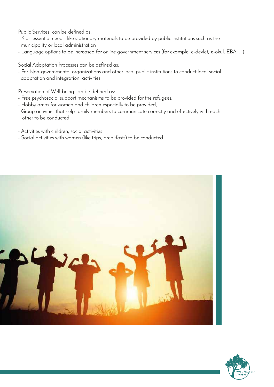Public Services can be defined as:

- Kids' essential needs like stationary materials to be provided by public institutions such as the municipality or local administration
- Language options to be increased for online government services (for example, e-devlet, e-okul, EBA, ...)

Social Adaptation Processes can be defined as:

- For Non-governmental organizations and other local public institutions to conduct local social adaptation and integration activities

Preservation of Well-being can be defined as:

- Free psychosocial support mechanisms to be provided for the refugees,
- Hobby areas for women and children especially to be provided,
- Group activities that help family members to communicate correctly and effectively with each other to be conducted
- Activities with children, social activities
- Social activities with women (like trips, breakfasts) to be conducted



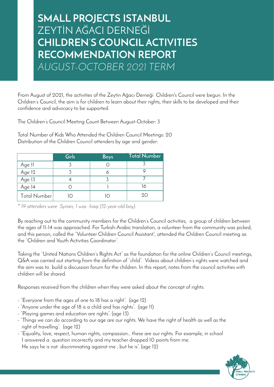### **SMALL PROJECTS ISTANBUL** ZEYTİN AĞACI DERNEĞİ **CHILDREN'S COUNCIL ACTIVITIES RECOMMENDATION REPORT**  *AUGUST-OCTOBER 2021 TERM*

From August of 2021, the activities of the Zeytin Ağacı Derneği Children's Council were begun. In the Children's Council, the aim is for children to learn about their rights, their skills to be developed and their confidence and advocacy to be supported.

The Children's Council Meeting Count Between August-October: 3

Total Number of Kids Who Attended the Children Council Meetings: 20 Distribution of the Children Council attenders by age and gender:

|                     | Girls | <b>Boys</b> | <b>Total Number</b> |
|---------------------|-------|-------------|---------------------|
| Age 11              |       |             |                     |
| Age 12              |       |             |                     |
| Age 13              |       |             |                     |
| $\overline{Age}$ 14 |       |             | 16                  |
| Total Number        |       |             | 90                  |

*\* 19 attenders were Syrian; 1 was Iraqi (12-year-old boy).*

By reaching out to the community members for the Children's Council activities, a group of children between the ages of 11-14 was approached. For Turkish-Arabic translation, a volunteer from the community was picked, and this person, called the "Volunteer Children Council Assistant", attended the Children Council meeting as the "Children and Youth Activities Coordinator".

Taking the "United Nations Children's Rights Act" as the foundation for the online Children's Council meetings, Q&A was carried out starting from the definition of "child". Videos about children's rights were watched and the aim was to build a discussion forum for the children. In this report, notes from the council activities with children will be shared.

Responses received from the children when they were asked about the concept of rights:

- "Everyone from the ages of one to 18 has a right". (age 12)
- "Anyone under the age of 18 is a child and has rights". (age 11)
- "Playing games and education are rights". (age 13)
- "Things we can do according to our age are our rights. We have the right of health as well as the right of travelling". (age 12)
- "Equality, love, respect, human rights, compassion… these are our rights. For example, in school I answered a question incorrectly and my teacher dropped 10 points from me. He says he is not discriminating against me , but he is". (age 12)

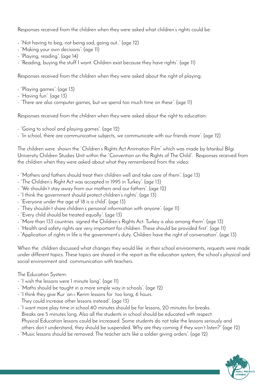Responses received from the children when they were asked what children's rights could be:

- "Not having to beg, not being sad, going out.." (age 12)
- "Making your own decisions". (age 11)
- "Playing, reading". (age 14)
- "Reading, buying the stuff I want. Children exist because they have rights". (age 11)

Responses received from the children when they were asked about the right of playing:

- "Playing games". (age 13)
- "Having fun". (age 13)
- "There are also computer games, but we spend too much time on these". (age 11)

Responses received from the children when they were asked about the right to education:

- "Going to school and playing games". (age 12)
- "In school, there are communicative subjects, we communicate with our friends more". (age 12)

The children were shown the "Children's Rights Act Animation Film" which was made by Istanbul Bilgi University Children Studies Unit within the "Convention on the Rights of The Child". Responses received from the children when they were asked about what they remembered from the video:

- "Mothers and fathers should treat their children well and take care of them". (age 13)
- "The Children's Right Act was accepted in 1995 in Turkey". (age 13)
- "We shouldn't stay away from our mothers and our fathers". (age 12)
- "I think the government should protect children's rights". (age 13)
- "Everyone under the age of 18 is a child". (age 13)
- "They shouldn't share children's personal information with anyone". (age II)
- "Every child should be treated equally". (age 13)
- "More than 133 countries signed the Children's Rights Act. Turkey is also among them". (age 13)
- "Health and safety rights are very important for children. These should be provided first". (age 11)
- "Application of rights in life is the government's duty. Children have the right of conversation". (age 13)

When the children discussed what changes they would like in their school environments, requests were made under different topics. These topics are shared in the report as the education system, the school's physical and social environment and communication with teachers.

The Education System:

- "I wish the lessons were 1 minute long". (age 11)
- "Maths should be taught in a more simple way in schools". (age 12)
- "I think they give Kur 'an-ı Kerim lessons for too long, 6 hours.

They could increase other lessons instead". (age 13)

- "I want more play time in school.40 minutes should be for lessons, 20 minutes for breaks. Breaks are 5 minutes long. Also all the students in school should be educated with respect. Physical Education lessons could be increased. Some students do not take the lessons seriously and others don't understand, they should be suspended. Why are they coming if they won't listen?" (age 12)
- "Music lessons should be removed. The teacher acts like a soldier giving orders". (age 12)

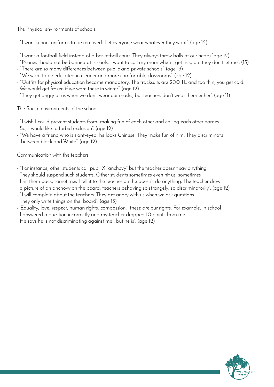The Physical environments of schools:

- "I want school uniforms to be removed. Let everyone wear whatever they want". (age 12)

- "I want a football field instead of a basketball court. They always throw balls at our heads".age 12)
- "Phones should not be banned at schools. I want to call my mom when I get sick, but they don't let me". (13)
- "There are so many differences between public and private schools". (age 13)
- "We want to be educated in cleaner and more comfortable classrooms". (age 12)
- "Outfits for physical education became mandatory. The tracksuits are 200 TL and too thin, you get cold. We would get frozen if we wore these in winter". (age 12)
- "They get angry at us when we don't wear our masks, but teachers don't wear them either". (age 11)

The Social environments of the schools:

- "I wish I could prevent students from making fun of each other and calling each other names.
- So, I would like to forbid exclusion". (age 12)
- "We have a friend who is slant-eyed, he looks Chinese. They make fun of him. They discriminate between black and White". (age 12)

Communication with the teachers:

- "For instance, other students call pupil X "anchovy" but the teacher doesn't say anything. They should suspend such students. Other students sometimes even hit us, sometimes I hit them back, sometimes I tell it to the teacher but he doesn't do anything. The teacher drew

- a picture of an anchovy on the board, teachers behaving so strangely, so discriminatorily". (age 12)
- "I will complain about the teachers. They get angry with us when we ask questions.

They only write things on the board". (age 13)

-"Equality, love, respect, human rights, compassion… these are our rights. For example, in school I answered a question incorrectly and my teacher dropped 10 points from me.

He says he is not discriminating against me , but he is". (age 12)